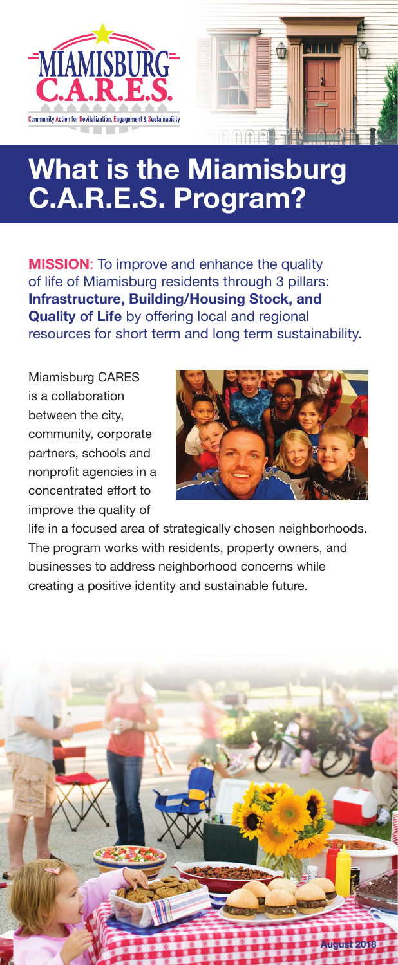

# **What is the Miamisburg C.A.R.E.S. Program?**

**MISSION**: To improve and enhance the quality of life of Miamisburg residents through 3 pillars: **Infrastructure, Building/Housing Stock, and Quality of Life** by offering local and regional resources for short term and long term sustainability.

Miamisburg CARES is a collaboration between the city, community, corporate partners, schools and nonprofit agencies in a concentrated effort to improve the quality of



life in a focused area of strategically chosen neighborhoods. The program works with residents, property owners, and businesses to address neighborhood concerns while creating a positive identity and sustainable future.